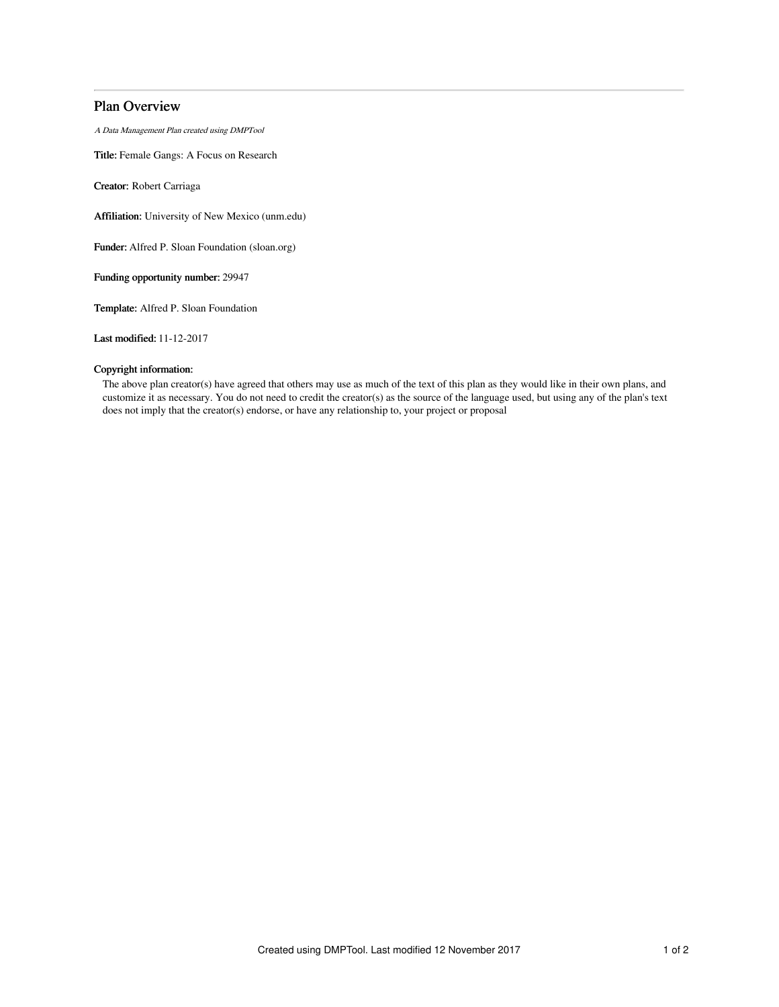# Plan Overview

A Data Management Plan created using DMPTool

Title: Female Gangs: A Focus on Research

Creator: Robert Carriaga

Affiliation: University of New Mexico (unm.edu)

Funder: Alfred P. Sloan Foundation (sloan.org)

Funding opportunity number: 29947

Template: Alfred P. Sloan Foundation

Last modified: 11-12-2017

## Copyright information:

The above plan creator(s) have agreed that others may use as much of the text of this plan as they would like in their own plans, and customize it as necessary. You do not need to credit the creator(s) as the source of the language used, but using any of the plan's text does not imply that the creator(s) endorse, or have any relationship to, your project or proposal